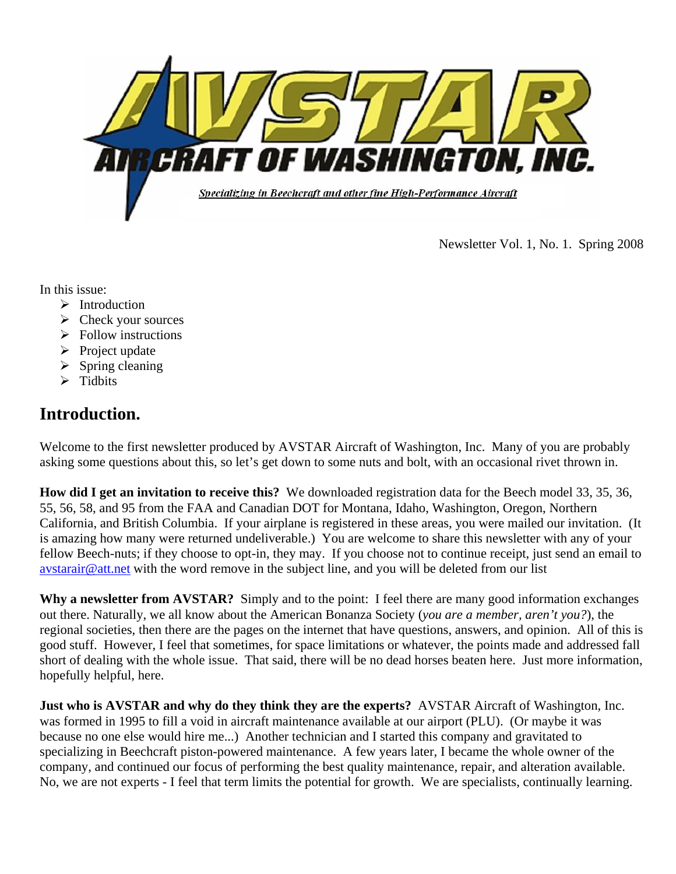

Newsletter Vol. 1, No. 1. Spring 2008

In this issue:

- $\blacktriangleright$  Introduction
- $\triangleright$  Check your sources
- $\triangleright$  Follow instructions
- $\triangleright$  Project update
- $\triangleright$  Spring cleaning
- $\triangleright$  Tidbits

# **Introduction.**

Welcome to the first newsletter produced by AVSTAR Aircraft of Washington, Inc. Many of you are probably asking some questions about this, so let's get down to some nuts and bolt, with an occasional rivet thrown in.

**How did I get an invitation to receive this?** We downloaded registration data for the Beech model 33, 35, 36, 55, 56, 58, and 95 from the FAA and Canadian DOT for Montana, Idaho, Washington, Oregon, Northern California, and British Columbia. If your airplane is registered in these areas, you were mailed our invitation. (It is amazing how many were returned undeliverable.) You are welcome to share this newsletter with any of your fellow Beech-nuts; if they choose to opt-in, they may. If you choose not to continue receipt, just send an email to [avstarair@att.net](mailto:avstarair@att.net) with the word remove in the subject line, and you will be deleted from our list

**Why a newsletter from AVSTAR?** Simply and to the point: I feel there are many good information exchanges out there. Naturally, we all know about the American Bonanza Society (*you are a member, aren't you?*), the regional societies, then there are the pages on the internet that have questions, answers, and opinion. All of this is good stuff. However, I feel that sometimes, for space limitations or whatever, the points made and addressed fall short of dealing with the whole issue. That said, there will be no dead horses beaten here. Just more information, hopefully helpful, here.

**Just who is AVSTAR and why do they think they are the experts?** AVSTAR Aircraft of Washington, Inc. was formed in 1995 to fill a void in aircraft maintenance available at our airport (PLU). (Or maybe it was because no one else would hire me...) Another technician and I started this company and gravitated to specializing in Beechcraft piston-powered maintenance. A few years later, I became the whole owner of the company, and continued our focus of performing the best quality maintenance, repair, and alteration available. No, we are not experts - I feel that term limits the potential for growth. We are specialists, continually learning.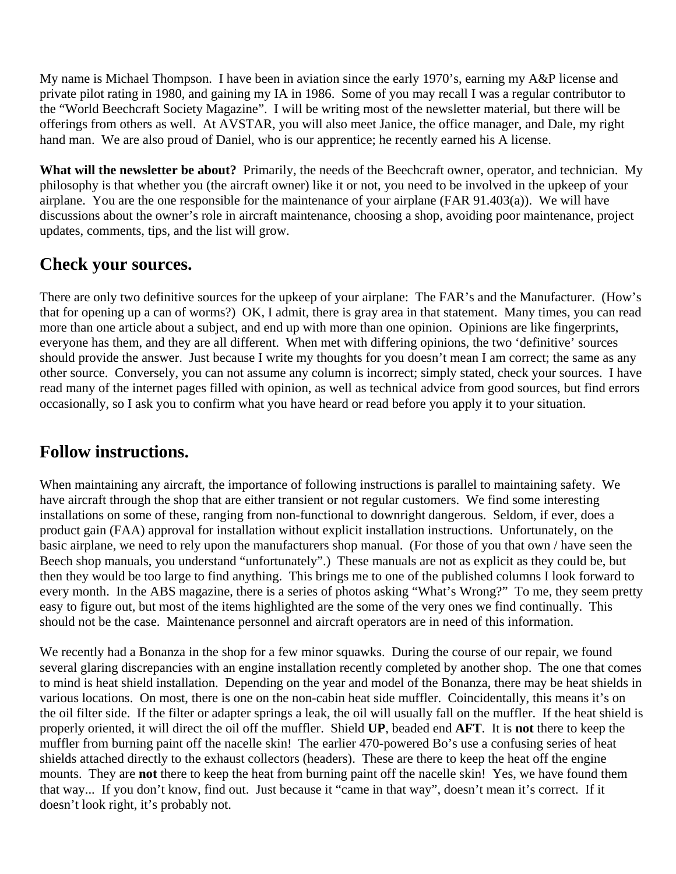My name is Michael Thompson. I have been in aviation since the early 1970's, earning my A&P license and private pilot rating in 1980, and gaining my IA in 1986. Some of you may recall I was a regular contributor to the "World Beechcraft Society Magazine". I will be writing most of the newsletter material, but there will be offerings from others as well. At AVSTAR, you will also meet Janice, the office manager, and Dale, my right hand man. We are also proud of Daniel, who is our apprentice; he recently earned his A license.

**What will the newsletter be about?** Primarily, the needs of the Beechcraft owner, operator, and technician. My philosophy is that whether you (the aircraft owner) like it or not, you need to be involved in the upkeep of your airplane. You are the one responsible for the maintenance of your airplane (FAR 91.403(a)). We will have discussions about the owner's role in aircraft maintenance, choosing a shop, avoiding poor maintenance, project updates, comments, tips, and the list will grow.

### **Check your sources.**

There are only two definitive sources for the upkeep of your airplane: The FAR's and the Manufacturer. (How's that for opening up a can of worms?) OK, I admit, there is gray area in that statement. Many times, you can read more than one article about a subject, and end up with more than one opinion. Opinions are like fingerprints, everyone has them, and they are all different. When met with differing opinions, the two 'definitive' sources should provide the answer. Just because I write my thoughts for you doesn't mean I am correct; the same as any other source. Conversely, you can not assume any column is incorrect; simply stated, check your sources. I have read many of the internet pages filled with opinion, as well as technical advice from good sources, but find errors occasionally, so I ask you to confirm what you have heard or read before you apply it to your situation.

## **Follow instructions.**

When maintaining any aircraft, the importance of following instructions is parallel to maintaining safety. We have aircraft through the shop that are either transient or not regular customers. We find some interesting installations on some of these, ranging from non-functional to downright dangerous. Seldom, if ever, does a product gain (FAA) approval for installation without explicit installation instructions. Unfortunately, on the basic airplane, we need to rely upon the manufacturers shop manual. (For those of you that own / have seen the Beech shop manuals, you understand "unfortunately".) These manuals are not as explicit as they could be, but then they would be too large to find anything. This brings me to one of the published columns I look forward to every month. In the ABS magazine, there is a series of photos asking "What's Wrong?" To me, they seem pretty easy to figure out, but most of the items highlighted are the some of the very ones we find continually. This should not be the case. Maintenance personnel and aircraft operators are in need of this information.

We recently had a Bonanza in the shop for a few minor squawks. During the course of our repair, we found several glaring discrepancies with an engine installation recently completed by another shop. The one that comes to mind is heat shield installation. Depending on the year and model of the Bonanza, there may be heat shields in various locations. On most, there is one on the non-cabin heat side muffler. Coincidentally, this means it's on the oil filter side. If the filter or adapter springs a leak, the oil will usually fall on the muffler. If the heat shield is properly oriented, it will direct the oil off the muffler. Shield **UP**, beaded end **AFT**. It is **not** there to keep the muffler from burning paint off the nacelle skin! The earlier 470-powered Bo's use a confusing series of heat shields attached directly to the exhaust collectors (headers). These are there to keep the heat off the engine mounts. They are **not** there to keep the heat from burning paint off the nacelle skin! Yes, we have found them that way... If you don't know, find out. Just because it "came in that way", doesn't mean it's correct. If it doesn't look right, it's probably not.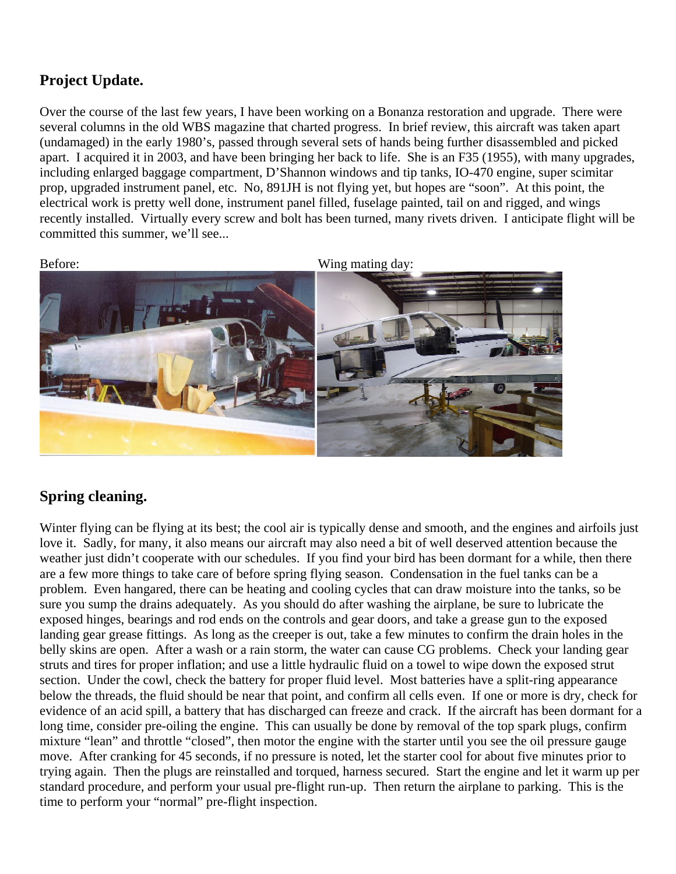### **Project Update.**

Over the course of the last few years, I have been working on a Bonanza restoration and upgrade. There were several columns in the old WBS magazine that charted progress. In brief review, this aircraft was taken apart (undamaged) in the early 1980's, passed through several sets of hands being further disassembled and picked apart. I acquired it in 2003, and have been bringing her back to life. She is an F35 (1955), with many upgrades, including enlarged baggage compartment, D'Shannon windows and tip tanks, IO-470 engine, super scimitar prop, upgraded instrument panel, etc. No, 891JH is not flying yet, but hopes are "soon". At this point, the electrical work is pretty well done, instrument panel filled, fuselage painted, tail on and rigged, and wings recently installed. Virtually every screw and bolt has been turned, many rivets driven. I anticipate flight will be committed this summer, we'll see...

Before: Wing mating day:

### **Spring cleaning.**

Winter flying can be flying at its best; the cool air is typically dense and smooth, and the engines and airfoils just love it. Sadly, for many, it also means our aircraft may also need a bit of well deserved attention because the weather just didn't cooperate with our schedules. If you find your bird has been dormant for a while, then there are a few more things to take care of before spring flying season. Condensation in the fuel tanks can be a problem. Even hangared, there can be heating and cooling cycles that can draw moisture into the tanks, so be sure you sump the drains adequately. As you should do after washing the airplane, be sure to lubricate the exposed hinges, bearings and rod ends on the controls and gear doors, and take a grease gun to the exposed landing gear grease fittings. As long as the creeper is out, take a few minutes to confirm the drain holes in the belly skins are open. After a wash or a rain storm, the water can cause CG problems. Check your landing gear struts and tires for proper inflation; and use a little hydraulic fluid on a towel to wipe down the exposed strut section. Under the cowl, check the battery for proper fluid level. Most batteries have a split-ring appearance below the threads, the fluid should be near that point, and confirm all cells even. If one or more is dry, check for evidence of an acid spill, a battery that has discharged can freeze and crack. If the aircraft has been dormant for a long time, consider pre-oiling the engine. This can usually be done by removal of the top spark plugs, confirm mixture "lean" and throttle "closed", then motor the engine with the starter until you see the oil pressure gauge move. After cranking for 45 seconds, if no pressure is noted, let the starter cool for about five minutes prior to trying again. Then the plugs are reinstalled and torqued, harness secured. Start the engine and let it warm up per standard procedure, and perform your usual pre-flight run-up. Then return the airplane to parking. This is the time to perform your "normal" pre-flight inspection.